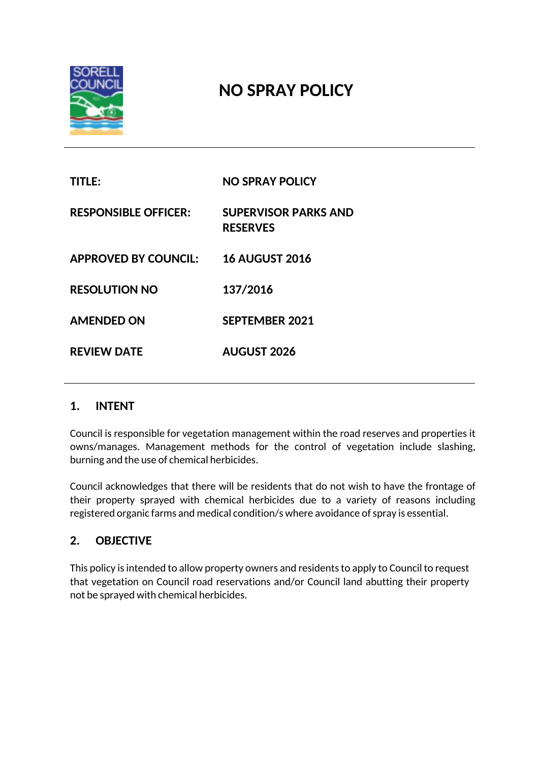

# **NO SPRAY POLICY**

| <b>TITLE:</b>               | <b>NO SPRAY POLICY</b>                         |
|-----------------------------|------------------------------------------------|
| <b>RESPONSIBLE OFFICER:</b> | <b>SUPERVISOR PARKS AND</b><br><b>RESERVES</b> |
| <b>APPROVED BY COUNCIL:</b> | <b>16 AUGUST 2016</b>                          |
| <b>RESOLUTION NO</b>        | 137/2016                                       |
| <b>AMENDED ON</b>           | <b>SEPTEMBER 2021</b>                          |
| <b>REVIEW DATE</b>          | <b>AUGUST 2026</b>                             |
|                             |                                                |

# **1. INTENT**

Council is responsible for vegetation management within the road reserves and properties it owns/manages. Management methods for the control of vegetation include slashing, burning and the use of chemical herbicides.

Council acknowledges that there will be residents that do not wish to have the frontage of their property sprayed with chemical herbicides due to a variety of reasons including registered organic farms and medical condition/s where avoidance of spray is essential.

# **2. OBJECTIVE**

This policy is intended to allow property owners and residents to apply to Council to request that vegetation on Council road reservations and/or Council land abutting their property not be sprayed with chemical herbicides.